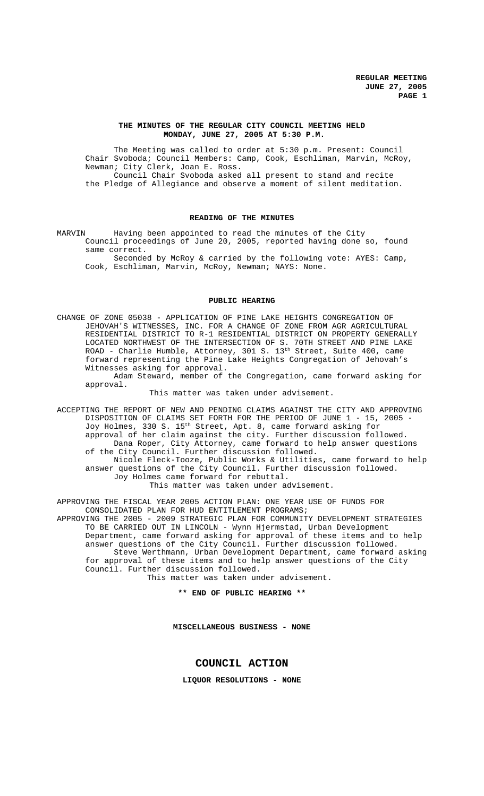### **THE MINUTES OF THE REGULAR CITY COUNCIL MEETING HELD MONDAY, JUNE 27, 2005 AT 5:30 P.M.**

The Meeting was called to order at 5:30 p.m. Present: Council Chair Svoboda; Council Members: Camp, Cook, Eschliman, Marvin, McRoy, Newman; City Clerk, Joan E. Ross. Council Chair Svoboda asked all present to stand and recite

the Pledge of Allegiance and observe a moment of silent meditation.

## **READING OF THE MINUTES**

MARVIN Having been appointed to read the minutes of the City Council proceedings of June 20, 2005, reported having done so, found same correct.

Seconded by McRoy & carried by the following vote: AYES: Camp, Cook, Eschliman, Marvin, McRoy, Newman; NAYS: None.

# **PUBLIC HEARING**

CHANGE OF ZONE 05038 - APPLICATION OF PINE LAKE HEIGHTS CONGREGATION OF JEHOVAH'S WITNESSES, INC. FOR A CHANGE OF ZONE FROM AGR AGRICULTURAL RESIDENTIAL DISTRICT TO R-1 RESIDENTIAL DISTRICT ON PROPERTY GENERALLY LOCATED NORTHWEST OF THE INTERSECTION OF S. 70TH STREET AND PINE LAKE ROAD - Charlie Humble, Attorney, 301 S.  $13^{\text{th}}$  Street, Suite  $400$ , came forward representing the Pine Lake Heights Congregation of Jehovah's Witnesses asking for approval.

Adam Steward, member of the Congregation, came forward asking for approval.

This matter was taken under advisement.

ACCEPTING THE REPORT OF NEW AND PENDING CLAIMS AGAINST THE CITY AND APPROVING DISPOSITION OF CLAIMS SET FORTH FOR THE PERIOD OF JUNE 1 - 15, 2005 - Joy Holmes, 330 S. 15th Street, Apt. 8, came forward asking for approval of her claim against the city. Further discussion followed. Dana Roper, City Attorney, came forward to help answer questions of the City Council. Further discussion followed. Nicole Fleck-Tooze, Public Works & Utilities, came forward to help

answer questions of the City Council. Further discussion followed. Joy Holmes came forward for rebuttal. This matter was taken under advisement.

APPROVING THE FISCAL YEAR 2005 ACTION PLAN: ONE YEAR USE OF FUNDS FOR CONSOLIDATED PLAN FOR HUD ENTITLEMENT PROGRAMS;

APPROVING THE 2005 - 2009 STRATEGIC PLAN FOR COMMUNITY DEVELOPMENT STRATEGIES TO BE CARRIED OUT IN LINCOLN - Wynn Hjermstad, Urban Development Department, came forward asking for approval of these items and to help answer questions of the City Council. Further discussion followed. Steve Werthmann, Urban Development Department, came forward asking for approval of these items and to help answer questions of the City Council. Further discussion followed.

This matter was taken under advisement.

**\*\* END OF PUBLIC HEARING \*\***

**MISCELLANEOUS BUSINESS - NONE**

# **COUNCIL ACTION**

**LIQUOR RESOLUTIONS - NONE**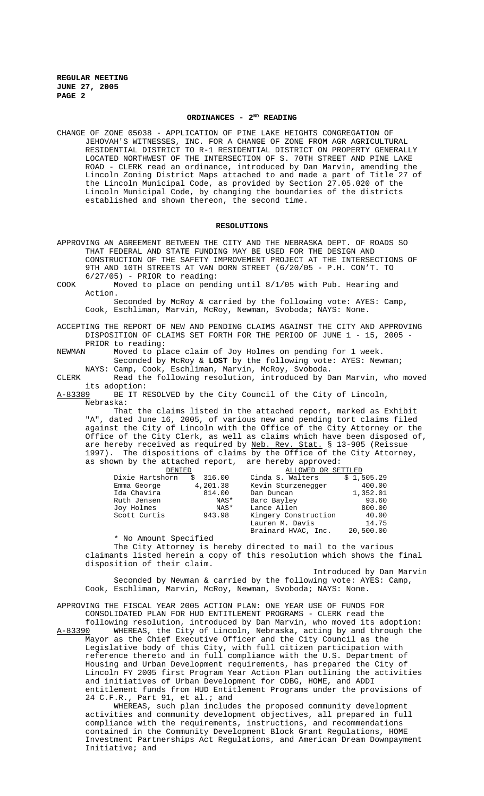# **ORDINANCES - 2ND READING**

CHANGE OF ZONE 05038 - APPLICATION OF PINE LAKE HEIGHTS CONGREGATION OF JEHOVAH'S WITNESSES, INC. FOR A CHANGE OF ZONE FROM AGR AGRICULTURAL RESIDENTIAL DISTRICT TO R-1 RESIDENTIAL DISTRICT ON PROPERTY GENERALLY LOCATED NORTHWEST OF THE INTERSECTION OF S. 70TH STREET AND PINE LAKE ROAD - CLERK read an ordinance, introduced by Dan Marvin, amending the Lincoln Zoning District Maps attached to and made a part of Title 27 of the Lincoln Municipal Code, as provided by Section 27.05.020 of the Lincoln Municipal Code, by changing the boundaries of the districts established and shown thereon, the second time.

### **RESOLUTIONS**

APPROVING AN AGREEMENT BETWEEN THE CITY AND THE NEBRASKA DEPT. OF ROADS SO THAT FEDERAL AND STATE FUNDING MAY BE USED FOR THE DESIGN AND CONSTRUCTION OF THE SAFETY IMPROVEMENT PROJECT AT THE INTERSECTIONS OF 9TH AND 10TH STREETS AT VAN DORN STREET (6/20/05 - P.H. CON'T. TO 6/27/05) - PRIOR to reading:

COOK Moved to place on pending until 8/1/05 with Pub. Hearing and Action.

Seconded by McRoy & carried by the following vote: AYES: Camp, Cook, Eschliman, Marvin, McRoy, Newman, Svoboda; NAYS: None.

ACCEPTING THE REPORT OF NEW AND PENDING CLAIMS AGAINST THE CITY AND APPROVING DISPOSITION OF CLAIMS SET FORTH FOR THE PERIOD OF JUNE 1 - 15, 2005 - PRIOR to reading:

NEWMAN Moved to place claim of Joy Holmes on pending for 1 week. Seconded by McRoy & **LOST** by the following vote: AYES: Newman; NAYS: Camp, Cook, Eschliman, Marvin, McRoy, Svoboda.

CLERK Read the following resolution, introduced by Dan Marvin, who moved

its adoption:<br><u>A-83389</u> BE IT R BE IT RESOLVED by the City Council of the City of Lincoln, Nebraska:

That the claims listed in the attached report, marked as Exhibit "A", dated June 16, 2005, of various new and pending tort claims filed against the City of Lincoln with the Office of the City Attorney or the Office of the City Clerk, as well as claims which have been disposed of, are hereby received as required by Neb. Rev. Stat. § 13-905 (Reissue 1997). The dispositions of claims by the Office of the City Attorney, as shown by the attached report, are hereby approved:<br>DENIED ALLOWED OR SET

ALLOWED OR SETTLED

| Dixie Hartshorn | \$316.00 | Cinda S. Walters     | \$1,505.29 |
|-----------------|----------|----------------------|------------|
| Emma George     | 4,201.38 | Kevin Sturzenegger   | 400.00     |
| Ida Chavira     | 814.00   | Dan Duncan           | 1,352.01   |
| Ruth Jensen     | NAS*     | Barc Bayley          | 93.60      |
| Joy Holmes      | NAS*     | Lance Allen          | 800.00     |
| Scott Curtis    | 943.98   | Kingery Construction | 40.00      |
|                 |          | Lauren M. Davis      | 14.75      |
|                 |          | Brainard HVAC, Inc.  | 20,500.00  |
|                 |          |                      |            |

\* No Amount Specified The City Attorney is hereby directed to mail to the various claimants listed herein a copy of this resolution which shows the final disposition of their claim.

Introduced by Dan Marvin Seconded by Newman & carried by the following vote: AYES: Camp, Cook, Eschliman, Marvin, McRoy, Newman, Svoboda; NAYS: None.

APPROVING THE FISCAL YEAR 2005 ACTION PLAN: ONE YEAR USE OF FUNDS FOR CONSOLIDATED PLAN FOR HUD ENTITLEMENT PROGRAMS - CLERK read the

following resolution, introduced by Dan Marvin, who moved its adoption: A-83390 WHEREAS, the City of Lincoln, Nebraska, acting by and through the Mayor as the Chief Executive Officer and the City Council as the Legislative body of this City, with full citizen participation with reference thereto and in full compliance with the U.S. Department of Housing and Urban Development requirements, has prepared the City of Lincoln FY 2005 first Program Year Action Plan outlining the activities and initiatives of Urban Development for CDBG, HOME, and ADDI entitlement funds from HUD Entitlement Programs under the provisions of 24 C.F.R., Part 91, et al.; and

WHEREAS, such plan includes the proposed community development activities and community development objectives, all prepared in full compliance with the requirements, instructions, and recommendations contained in the Community Development Block Grant Regulations, HOME Investment Partnerships Act Regulations, and American Dream Downpayment Initiative; and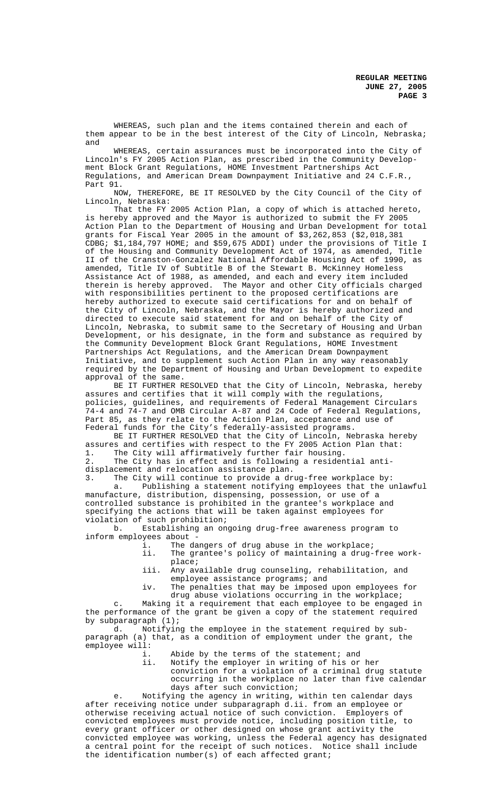WHEREAS, such plan and the items contained therein and each of them appear to be in the best interest of the City of Lincoln, Nebraska; and

WHEREAS, certain assurances must be incorporated into the City of Lincoln's FY 2005 Action Plan, as prescribed in the Community Development Block Grant Regulations, HOME Investment Partnerships Act Regulations, and American Dream Downpayment Initiative and 24 C.F.R., Part 91.

NOW, THEREFORE, BE IT RESOLVED by the City Council of the City of Lincoln, Nebraska:

That the FY 2005 Action Plan, a copy of which is attached hereto, is hereby approved and the Mayor is authorized to submit the FY 2005 Action Plan to the Department of Housing and Urban Development for total grants for Fiscal Year 2005 in the amount of \$3,262,853 (\$2,018,381 CDBG; \$1,184,797 HOME; and \$59,675 ADDI) under the provisions of Title I of the Housing and Community Development Act of 1974, as amended, Title II of the Cranston-Gonzalez National Affordable Housing Act of 1990, as amended, Title IV of Subtitle B of the Stewart B. McKinney Homeless Assistance Act of 1988, as amended, and each and every item included therein is hereby approved. The Mayor and other City officials charged with responsibilities pertinent to the proposed certifications are hereby authorized to execute said certifications for and on behalf of the City of Lincoln, Nebraska, and the Mayor is hereby authorized and directed to execute said statement for and on behalf of the City of Lincoln, Nebraska, to submit same to the Secretary of Housing and Urban Development, or his designate, in the form and substance as required by the Community Development Block Grant Regulations, HOME Investment Partnerships Act Regulations, and the American Dream Downpayment Initiative, and to supplement such Action Plan in any way reasonably required by the Department of Housing and Urban Development to expedite approval of the same.

BE IT FURTHER RESOLVED that the City of Lincoln, Nebraska, hereby assures and certifies that it will comply with the regulations, policies, guidelines, and requirements of Federal Management Circulars 74-4 and 74-7 and OMB Circular A-87 and 24 Code of Federal Regulations, Part 85, as they relate to the Action Plan, acceptance and use of Federal funds for the City's federally-assisted programs.

BE IT FURTHER RESOLVED that the City of Lincoln, Nebraska hereby assures and certifies with respect to the FY 2005 Action Plan that: 1. The City will affirmatively further fair housing.<br>2. The City has in effect and is following a residen

The City has in effect and is following a residential antidisplacement and relocation assistance plan.<br>3 The City will continue to provide a dri

The City will continue to provide a drug-free workplace by: a. Publishing a statement notifying employees that the unlawful manufacture, distribution, dispensing, possession, or use of a controlled substance is prohibited in the grantee's workplace and specifying the actions that will be taken against employees for

violation of such prohibition;<br>b. Establishing an on Establishing an ongoing drug-free awareness program to inform employees about -<br>i. The da

- i. The dangers of drug abuse in the workplace;<br>ii. The grantee's policy of maintaining a drug-
	- The grantee's policy of maintaining a drug-free workplace;
- iii. Any available drug counseling, rehabilitation, and employee assistance programs; and
- iv. The penalties that may be imposed upon employees for drug abuse violations occurring in the workplace;

c. Making it a requirement that each employee to be engaged in the performance of the grant be given a copy of the statement required by subparagraph (1);<br>d. Notifving

Notifying the employee in the statement required by subparagraph (a) that, as a condition of employment under the grant, the employee will:

- i. Abide by the terms of the statement; and<br>ii. Notify the emplover in writing of his or
	- Notify the employer in writing of his or her conviction for a violation of a criminal drug statute occurring in the workplace no later than five calendar days after such conviction;

e. Notifying the agency in writing, within ten calendar days after receiving notice under subparagraph d.ii. from an employee or otherwise receiving actual notice of such conviction. Employers of convicted employees must provide notice, including position title, to every grant officer or other designed on whose grant activity the convicted employee was working, unless the Federal agency has designated a central point for the receipt of such notices. Notice shall include the identification number(s) of each affected grant;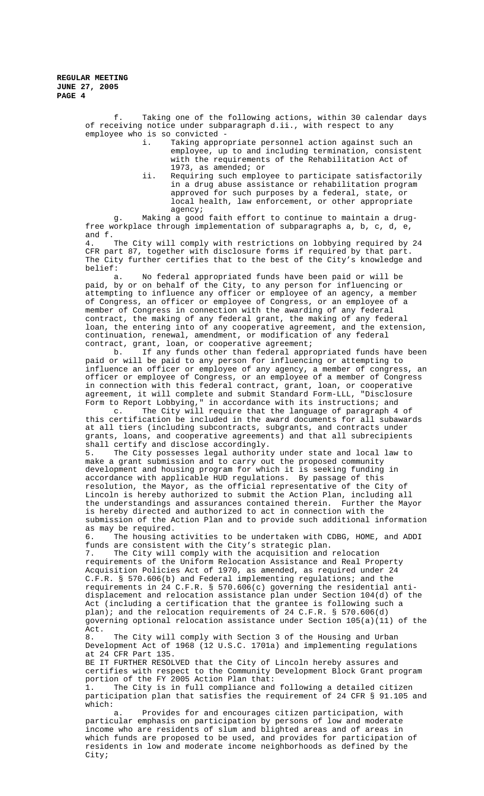f. Taking one of the following actions, within 30 calendar days of receiving notice under subparagraph d.ii., with respect to any employee who is so convicted -<br>i. Taking appro

- Taking appropriate personnel action against such an employee, up to and including termination, consistent with the requirements of the Rehabilitation Act of 1973, as amended; or
- ii. Requiring such employee to participate satisfactorily in a drug abuse assistance or rehabilitation program approved for such purposes by a federal, state, or local health, law enforcement, or other appropriate agency;

g. Making a good faith effort to continue to maintain a drugfree workplace through implementation of subparagraphs a, b, c, d, e, and f.

4. The City will comply with restrictions on lobbying required by 24 CFR part 87, together with disclosure forms if required by that part. The City further certifies that to the best of the City's knowledge and belief:

a. No federal appropriated funds have been paid or will be paid, by or on behalf of the City, to any person for influencing or attempting to influence any officer or employee of an agency, a member of Congress, an officer or employee of Congress, or an employee of a member of Congress in connection with the awarding of any federal contract, the making of any federal grant, the making of any federal loan, the entering into of any cooperative agreement, and the extension, continuation, renewal, amendment, or modification of any federal contract, grant, loan, or cooperative agreement;

b. If any funds other than federal appropriated funds have been paid or will be paid to any person for influencing or attempting to influence an officer or employee of any agency, a member of congress, an officer or employee of Congress, or an employee of a member of Congress in connection with this federal contract, grant, loan, or cooperative agreement, it will complete and submit Standard Form-LLL, "Disclosure Form to Report Lobbying," in accordance with its instructions; and

c. The City will require that the language of paragraph 4 of this certification be included in the award documents for all subawards at all tiers (including subcontracts, subgrants, and contracts under grants, loans, and cooperative agreements) and that all subrecipients shall certify and disclose accordingly.

5. The City possesses legal authority under state and local law to make a grant submission and to carry out the proposed community development and housing program for which it is seeking funding in accordance with applicable HUD regulations. By passage of this resolution, the Mayor, as the official representative of the City of Lincoln is hereby authorized to submit the Action Plan, including all the understandings and assurances contained therein. Further the Mayor is hereby directed and authorized to act in connection with the submission of the Action Plan and to provide such additional information as may be required.

6. The housing activities to be undertaken with CDBG, HOME, and ADDI funds are consistent with the City's strategic plan.<br>7. The City will comply with the acquisition and

The City will comply with the acquisition and relocation requirements of the Uniform Relocation Assistance and Real Property Acquisition Policies Act of 1970, as amended, as required under 24 C.F.R. § 570.606(b) and Federal implementing regulations; and the requirements in 24 C.F.R. § 570.606(c) governing the residential antidisplacement and relocation assistance plan under Section 104(d) of the Act (including a certification that the grantee is following such a plan); and the relocation requirements of 24 C.F.R. § 570.606(d) governing optional relocation assistance under Section 105(a)(11) of the Act.

8. The City will comply with Section 3 of the Housing and Urban Development Act of 1968 (12 U.S.C. 1701a) and implementing regulations at 24 CFR Part 135.

BE IT FURTHER RESOLVED that the City of Lincoln hereby assures and certifies with respect to the Community Development Block Grant program portion of the FY 2005 Action Plan that:

1. The City is in full compliance and following a detailed citizen participation plan that satisfies the requirement of 24 CFR § 91.105 and which:

a. Provides for and encourages citizen participation, with particular emphasis on participation by persons of low and moderate income who are residents of slum and blighted areas and of areas in which funds are proposed to be used, and provides for participation of residents in low and moderate income neighborhoods as defined by the City;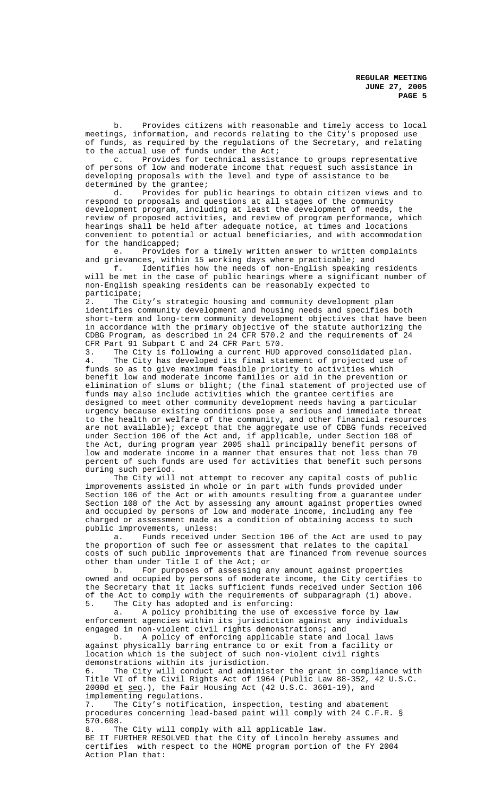b. Provides citizens with reasonable and timely access to local meetings, information, and records relating to the City's proposed use of funds, as required by the regulations of the Secretary, and relating to the actual use of funds under the Act;<br>c. Provides for technical assist

Provides for technical assistance to groups representative of persons of low and moderate income that request such assistance in developing proposals with the level and type of assistance to be determined by the grantee;<br>d. Provides for p

Provides for public hearings to obtain citizen views and to respond to proposals and questions at all stages of the community development program, including at least the development of needs, the review of proposed activities, and review of program performance, which hearings shall be held after adequate notice, at times and locations convenient to potential or actual beneficiaries, and with accommodation for the handicapped;

e. Provides for a timely written answer to written complaints and grievances, within 15 working days where practicable; and<br>f. Identifies how the needs of non-English speaking

Identifies how the needs of non-English speaking residents will be met in the case of public hearings where a significant number of non-English speaking residents can be reasonably expected to participate;

2. The City's strategic housing and community development plan identifies community development and housing needs and specifies both short-term and long-term community development objectives that have been in accordance with the primary objective of the statute authorizing the CDBG Program, as described in 24 CFR 570.2 and the requirements of 24

CFR Part 91 Subpart C and 24 CFR Part 570.<br>3. The City is following a current HUD 3. The City is following a current HUD approved consolidated plan.<br>4. The City has developed its final statement of projected use of The City has developed its final statement of projected use of funds so as to give maximum feasible priority to activities which benefit low and moderate income families or aid in the prevention or elimination of slums or blight; (the final statement of projected use of funds may also include activities which the grantee certifies are designed to meet other community development needs having a particular urgency because existing conditions pose a serious and immediate threat to the health or welfare of the community, and other financial resources are not available); except that the aggregate use of CDBG funds received under Section 106 of the Act and, if applicable, under Section 108 of the Act, during program year 2005 shall principally benefit persons of low and moderate income in a manner that ensures that not less than 70 percent of such funds are used for activities that benefit such persons during such period.

The City will not attempt to recover any capital costs of public improvements assisted in whole or in part with funds provided under Section 106 of the Act or with amounts resulting from a guarantee under Section 108 of the Act by assessing any amount against properties owned and occupied by persons of low and moderate income, including any fee charged or assessment made as a condition of obtaining access to such public improvements, unless:

a. Funds received under Section 106 of the Act are used to pay the proportion of such fee or assessment that relates to the capital costs of such public improvements that are financed from revenue sources other than under Title I of the Act; or<br>b. For purposes of assessing an

For purposes of assessing any amount against properties owned and occupied by persons of moderate income, the City certifies to the Secretary that it lacks sufficient funds received under Section 106 of the Act to comply with the requirements of subparagraph (1) above. 5. The City has adopted and is enforcing:

a. A policy prohibiting the use of excessive force by law enforcement agencies within its jurisdiction against any individuals engaged in non-violent civil rights demonstrations; and

b. A policy of enforcing applicable state and local laws against physically barring entrance to or exit from a facility or location which is the subject of such non-violent civil rights

demonstrations within its jurisdiction.<br>6. The City will conduct and adminis The City will conduct and administer the grant in compliance with Title VI of the Civil Rights Act of 1964 (Public Law 88-352, 42 U.S.C. 2000d et seq.), the Fair Housing Act (42 U.S.C. 3601-19), and

implementing regulations.<br>7 The Citv's notifica The City's notification, inspection, testing and abatement procedures concerning lead-based paint will comply with 24 C.F.R. § 570.608.<br>8. The

The City will comply with all applicable law.

BE IT FURTHER RESOLVED that the City of Lincoln hereby assumes and certifies with respect to the HOME program portion of the FY 2004 Action Plan that: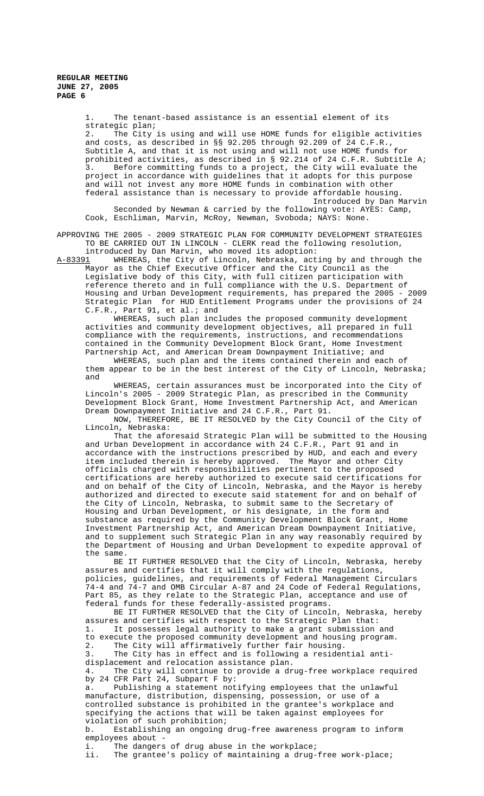> 1. The tenant-based assistance is an essential element of its strategic plan;

2. The City is using and will use HOME funds for eligible activities and costs, as described in §§ 92.205 through 92.209 of 24 C.F.R., Subtitle A, and that it is not using and will not use HOME funds for prohibited activities, as described in § 92.214 of 24 C.F.R. Subtitle A; 3. Before committing funds to a project, the City will evaluate the project in accordance with guidelines that it adopts for this purpose and will not invest any more HOME funds in combination with other federal assistance than is necessary to provide affordable housing. Introduced by Dan Marvin

Seconded by Newman & carried by the following vote: AYES: Camp, Cook, Eschliman, Marvin, McRoy, Newman, Svoboda; NAYS: None.

APPROVING THE 2005 - 2009 STRATEGIC PLAN FOR COMMUNITY DEVELOPMENT STRATEGIES TO BE CARRIED OUT IN LINCOLN - CLERK read the following resolution,

introduced by Dan Marvin, who moved its adoption:<br>A-83391 WHEREAS, the City of Lincoln, Nebraska, act WHEREAS, the City of Lincoln, Nebraska, acting by and through the Mayor as the Chief Executive Officer and the City Council as the Legislative body of this City, with full citizen participation with reference thereto and in full compliance with the U.S. Department of

Housing and Urban Development requirements, has prepared the 2005 - 2009 Strategic Plan for HUD Entitlement Programs under the provisions of 24 C.F.R., Part 91, et al.; and

WHEREAS, such plan includes the proposed community development activities and community development objectives, all prepared in full compliance with the requirements, instructions, and recommendations contained in the Community Development Block Grant, Home Investment Partnership Act, and American Dream Downpayment Initiative; and

WHEREAS, such plan and the items contained therein and each of them appear to be in the best interest of the City of Lincoln, Nebraska; and

WHEREAS, certain assurances must be incorporated into the City of Lincoln's 2005 - 2009 Strategic Plan, as prescribed in the Community Development Block Grant, Home Investment Partnership Act, and American Dream Downpayment Initiative and 24 C.F.R., Part 91.

NOW, THEREFORE, BE IT RESOLVED by the City Council of the City of Lincoln, Nebraska:

That the aforesaid Strategic Plan will be submitted to the Housing and Urban Development in accordance with 24 C.F.R., Part 91 and in accordance with the instructions prescribed by HUD, and each and every item included therein is hereby approved. The Mayor and other City officials charged with responsibilities pertinent to the proposed certifications are hereby authorized to execute said certifications for and on behalf of the City of Lincoln, Nebraska, and the Mayor is hereby authorized and directed to execute said statement for and on behalf of the City of Lincoln, Nebraska, to submit same to the Secretary of Housing and Urban Development, or his designate, in the form and substance as required by the Community Development Block Grant, Home Investment Partnership Act, and American Dream Downpayment Initiative, and to supplement such Strategic Plan in any way reasonably required by the Department of Housing and Urban Development to expedite approval of the same.

BE IT FURTHER RESOLVED that the City of Lincoln, Nebraska, hereby assures and certifies that it will comply with the regulations, policies, guidelines, and requirements of Federal Management Circulars 74-4 and 74-7 and OMB Circular A-87 and 24 Code of Federal Regulations, Part 85, as they relate to the Strategic Plan, acceptance and use of federal funds for these federally-assisted programs.

BE IT FURTHER RESOLVED that the City of Lincoln, Nebraska, hereby assures and certifies with respect to the Strategic Plan that: 1. It possesses legal authority to make a grant submission and

to execute the proposed community development and housing program. 2. The City will affirmatively further fair housing.

3. The City has in effect and is following a residential antidisplacement and relocation assistance plan.<br>4. The City will continue to provide a dr

The City will continue to provide a drug-free workplace required by 24 CFR Part 24, Subpart F by:

a. Publishing a statement notifying employees that the unlawful manufacture, distribution, dispensing, possession, or use of a controlled substance is prohibited in the grantee's workplace and specifying the actions that will be taken against employees for violation of such prohibition;<br>b. Establishing an ongoing

Establishing an ongoing drug-free awareness program to inform employees about

i. The dangers of drug abuse in the workplace;

ii. The grantee's policy of maintaining a drug-free work-place;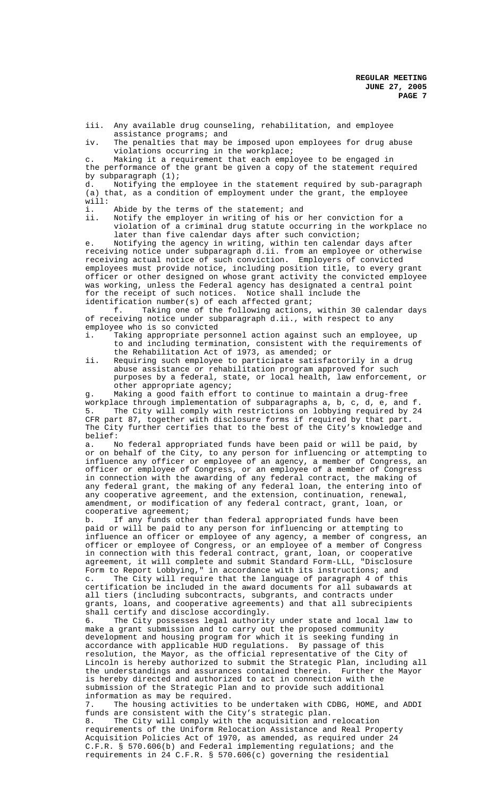iii. Any available drug counseling, rehabilitation, and employee assistance programs; and

iv. The penalties that may be imposed upon employees for drug abuse violations occurring in the workplace;

c. Making it a requirement that each employee to be engaged in the performance of the grant be given a copy of the statement required by subparagraph (1);<br>d. Notifving the

Notifying the employee in the statement required by sub-paragraph (a) that, as a condition of employment under the grant, the employee will:<br>i.

i. Abide by the terms of the statement; and<br>ii Notify the employer in writing of his or

Notify the employer in writing of his or her conviction for a violation of a criminal drug statute occurring in the workplace no later than five calendar days after such conviction;

Notifying the agency in writing, within ten calendar days after receiving notice under subparagraph d.ii. from an employee or otherwise receiving actual notice of such conviction. Employers of convicted employees must provide notice, including position title, to every grant officer or other designed on whose grant activity the convicted employee was working, unless the Federal agency has designated a central point for the receipt of such notices. Notice shall include the

identification number(s) of each affected grant;<br>f. Taking one of the following actions. Taking one of the following actions, within 30 calendar days of receiving notice under subparagraph d.ii., with respect to any employee who is so convicted

- i. Taking appropriate personnel action against such an employee, up to and including termination, consistent with the requirements of the Rehabilitation Act of 1973, as amended; or
- ii. Requiring such employee to participate satisfactorily in a drug abuse assistance or rehabilitation program approved for such purposes by a federal, state, or local health, law enforcement, or other appropriate agency;

g. Making a good faith effort to continue to maintain a drug-free workplace through implementation of subparagraphs a, b, c, d, e, and f.<br>5. The City will comply with restrictions on lobbying required by 24 The City will comply with restrictions on lobbying required by 24 CFR part 87, together with disclosure forms if required by that part. The City further certifies that to the best of the City's knowledge and belief:

a. No federal appropriated funds have been paid or will be paid, by or on behalf of the City, to any person for influencing or attempting to influence any officer or employee of an agency, a member of Congress, an officer or employee of Congress, or an employee of a member of Congress in connection with the awarding of any federal contract, the making of any federal grant, the making of any federal loan, the entering into of any cooperative agreement, and the extension, continuation, renewal, amendment, or modification of any federal contract, grant, loan, or cooperative agreement;<br>b. If any funds oth

If any funds other than federal appropriated funds have been paid or will be paid to any person for influencing or attempting to influence an officer or employee of any agency, a member of congress, an officer or employee of Congress, or an employee of a member of Congress in connection with this federal contract, grant, loan, or cooperative agreement, it will complete and submit Standard Form-LLL, "Disclosure Form to Report Lobbying," in accordance with its instructions; and c. The City will require that the language of paragraph 4 of this

certification be included in the award documents for all subawards at all tiers (including subcontracts, subgrants, and contracts under grants, loans, and cooperative agreements) and that all subrecipients shall certify and disclose accordingly.<br>6. The City possesses legal authorit

The City possesses legal authority under state and local law to make a grant submission and to carry out the proposed community development and housing program for which it is seeking funding in accordance with applicable HUD regulations. By passage of this resolution, the Mayor, as the official representative of the City of Lincoln is hereby authorized to submit the Strategic Plan, including all the understandings and assurances contained therein. Further the Mayor is hereby directed and authorized to act in connection with the submission of the Strategic Plan and to provide such additional

information as may be required.<br>7 The housing activities to The housing activities to be undertaken with CDBG, HOME, and ADDI funds are consistent with the City's strategic plan.<br>8. The City will comply with the acquisition and:

The City will comply with the acquisition and relocation requirements of the Uniform Relocation Assistance and Real Property Acquisition Policies Act of 1970, as amended, as required under 24 C.F.R. § 570.606(b) and Federal implementing regulations; and the requirements in 24 C.F.R. § 570.606(c) governing the residential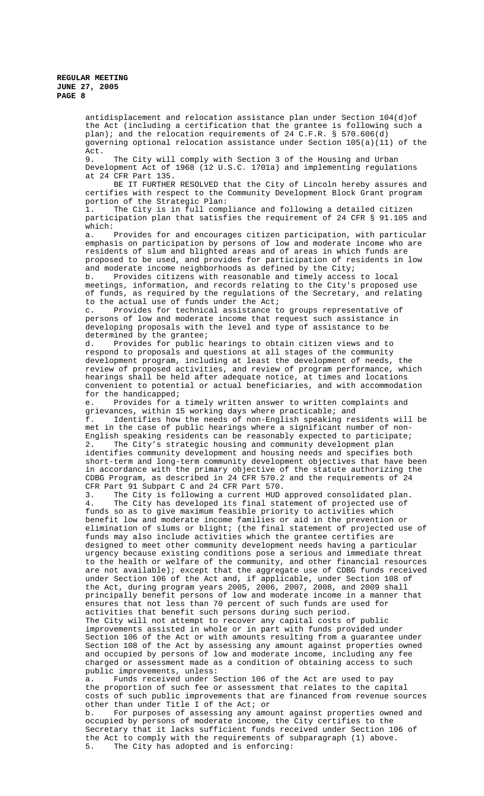antidisplacement and relocation assistance plan under Section 104(d)of the Act (including a certification that the grantee is following such a plan); and the relocation requirements of 24 C.F.R. § 570.606(d) governing optional relocation assistance under Section 105(a)(11) of the Act.<br>9.

The City will comply with Section 3 of the Housing and Urban Development Act of 1968 (12 U.S.C. 1701a) and implementing regulations at 24 CFR Part 135.

BE IT FURTHER RESOLVED that the City of Lincoln hereby assures and certifies with respect to the Community Development Block Grant program portion of the Strategic Plan:

1. The City is in full compliance and following a detailed citizen participation plan that satisfies the requirement of 24 CFR § 91.105 and which:

a. Provides for and encourages citizen participation, with particular emphasis on participation by persons of low and moderate income who are residents of slum and blighted areas and of areas in which funds are proposed to be used, and provides for participation of residents in low and moderate income neighborhoods as defined by the City;

b. Provides citizens with reasonable and timely access to local meetings, information, and records relating to the City's proposed use of funds, as required by the regulations of the Secretary, and relating to the actual use of funds under the Act;

c. Provides for technical assistance to groups representative of persons of low and moderate income that request such assistance in developing proposals with the level and type of assistance to be determined by the grantee;

d. Provides for public hearings to obtain citizen views and to respond to proposals and questions at all stages of the community development program, including at least the development of needs, the review of proposed activities, and review of program performance, which hearings shall be held after adequate notice, at times and locations convenient to potential or actual beneficiaries, and with accommodation for the handicapped;

e. Provides for a timely written answer to written complaints and grievances, within 15 working days where practicable; and<br>f. Identifies how the needs of non-English speaking rea f. Identifies how the needs of non-English speaking residents will be met in the case of public hearings where a significant number of non-English speaking residents can be reasonably expected to participate; 2. The City's strategic housing and community development plan identifies community development and housing needs and specifies both short-term and long-term community development objectives that have been in accordance with the primary objective of the statute authorizing the CDBG Program, as described in 24 CFR 570.2 and the requirements of 24

CFR Part 91 Subpart C and 24 CFR Part 570.<br>3. The City is following a current HUD 3. The City is following a current HUD approved consolidated plan. The City has developed its final statement of projected use of funds so as to give maximum feasible priority to activities which benefit low and moderate income families or aid in the prevention or elimination of slums or blight; (the final statement of projected use of funds may also include activities which the grantee certifies are designed to meet other community development needs having a particular urgency because existing conditions pose a serious and immediate threat to the health or welfare of the community, and other financial resources are not available); except that the aggregate use of CDBG funds received under Section 106 of the Act and, if applicable, under Section 108 of the Act, during program years 2005, 2006, 2007, 2008, and 2009 shall principally benefit persons of low and moderate income in a manner that ensures that not less than 70 percent of such funds are used for activities that benefit such persons during such period. The City will not attempt to recover any capital costs of public improvements assisted in whole or in part with funds provided under Section 106 of the Act or with amounts resulting from a guarantee under Section 108 of the Act by assessing any amount against properties owned and occupied by persons of low and moderate income, including any fee charged or assessment made as a condition of obtaining access to such public improvements, unless:

a. Funds received under Section 106 of the Act are used to pay the proportion of such fee or assessment that relates to the capital costs of such public improvements that are financed from revenue sources other than under Title I of the Act; or

b. For purposes of assessing any amount against properties owned and occupied by persons of moderate income, the City certifies to the Secretary that it lacks sufficient funds received under Section 106 of the Act to comply with the requirements of subparagraph (1) above. 5. The City has adopted and is enforcing: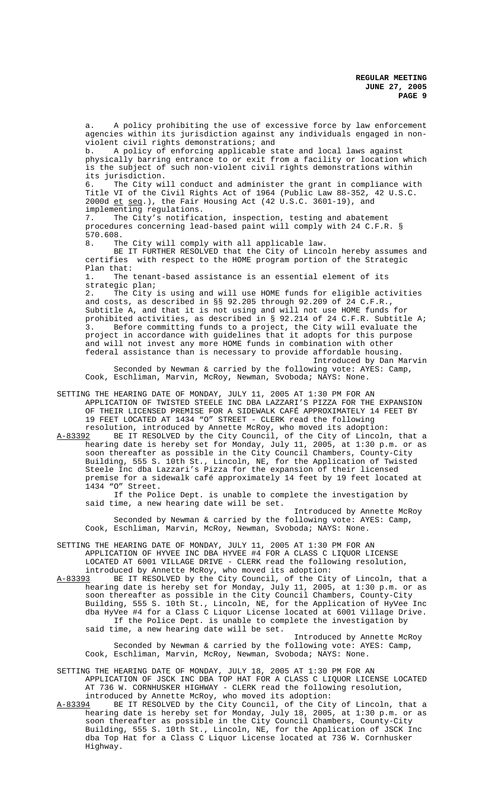a. A policy prohibiting the use of excessive force by law enforcement agencies within its jurisdiction against any individuals engaged in nonviolent civil rights demonstrations; and<br>b. A policy of enforcing applicable st

b. A policy of enforcing applicable state and local laws against physically barring entrance to or exit from a facility or location which is the subject of such non-violent civil rights demonstrations within its jurisdiction.

6. The City will conduct and administer the grant in compliance with Title VI of the Civil Rights Act of 1964 (Public Law 88-352, 42 U.S.C. 2000d et seq.), the Fair Housing Act (42 U.S.C. 3601-19), and implementing regulations.<br>7 The City's notifica

The City's notification, inspection, testing and abatement procedures concerning lead-based paint will comply with 24 C.F.R. § 570.608.

8. The City will comply with all applicable law.

BE IT FURTHER RESOLVED that the City of Lincoln hereby assumes and certifies with respect to the HOME program portion of the Strategic Plan that:

1. The tenant-based assistance is an essential element of its strategic plan;

2. The City is using and will use HOME funds for eligible activities and costs, as described in §§ 92.205 through 92.209 of 24 C.F.R., Subtitle A, and that it is not using and will not use HOME funds for prohibited activities, as described in § 92.214 of 24 C.F.R. Subtitle A; 3. Before committing funds to a project, the City will evaluate the project in accordance with guidelines that it adopts for this purpose and will not invest any more HOME funds in combination with other federal assistance than is necessary to provide affordable housing. Introduced by Dan Marvin

Seconded by Newman & carried by the following vote: AYES: Camp, Cook, Eschliman, Marvin, McRoy, Newman, Svoboda; NAYS: None.

SETTING THE HEARING DATE OF MONDAY, JULY 11, 2005 AT 1:30 PM FOR AN APPLICATION OF TWISTED STEELE INC DBA LAZZARI'S PIZZA FOR THE EXPANSION OF THEIR LICENSED PREMISE FOR A SIDEWALK CAFÉ APPROXIMATELY 14 FEET BY 19 FEET LOCATED AT 1434 "O" STREET - CLERK read the following resolution, introduced by Annette McRoy, who moved its adoption:

A-83392 BE IT RESOLVED by the City Council, of the City of Lincoln, that a hearing date is hereby set for Monday, July 11, 2005, at 1:30 p.m. or as soon thereafter as possible in the City Council Chambers, County-City Building, 555 S. 10th St., Lincoln, NE, for the Application of Twisted Steele Inc dba Lazzari's Pizza for the expansion of their licensed premise for a sidewalk café approximately 14 feet by 19 feet located at 1434 "O" Street.

 If the Police Dept. is unable to complete the investigation by said time, a new hearing date will be set.

Introduced by Annette McRoy Seconded by Newman & carried by the following vote: AYES: Camp, Cook, Eschliman, Marvin, McRoy, Newman, Svoboda; NAYS: None.

SETTING THE HEARING DATE OF MONDAY, JULY 11, 2005 AT 1:30 PM FOR AN APPLICATION OF HYVEE INC DBA HYVEE #4 FOR A CLASS C LIQUOR LICENSE LOCATED AT 6001 VILLAGE DRIVE - CLERK read the following resolution, introduced by Annette McRoy, who moved its adoption:<br>A-83393 BE IT RESOLVED by the City Council, of the Cit

BE IT RESOLVED by the City Council, of the City of Lincoln, that a hearing date is hereby set for Monday, July 11, 2005, at 1:30 p.m. or as soon thereafter as possible in the City Council Chambers, County-City Building, 555 S. 10th St., Lincoln, NE, for the Application of HyVee Inc dba HyVee #4 for a Class C Liquor License located at 6001 Village Drive. If the Police Dept. is unable to complete the investigation by said time, a new hearing date will be set.

Introduced by Annette McRoy Seconded by Newman & carried by the following vote: AYES: Camp, Cook, Eschliman, Marvin, McRoy, Newman, Svoboda; NAYS: None.

SETTING THE HEARING DATE OF MONDAY, JULY 18, 2005 AT 1:30 PM FOR AN APPLICATION OF JSCK INC DBA TOP HAT FOR A CLASS C LIQUOR LICENSE LOCATED AT 736 W. CORNHUSKER HIGHWAY - CLERK read the following resolution, introduced by Annette McRoy, who moved its adoption:

A-83394 BE IT RESOLVED by the City Council, of the City of Lincoln, that a hearing date is hereby set for Monday, July 18, 2005, at 1:30 p.m. or as soon thereafter as possible in the City Council Chambers, County-City Building, 555 S. 10th St., Lincoln, NE, for the Application of JSCK Inc dba Top Hat for a Class C Liquor License located at 736 W. Cornhusker Highway.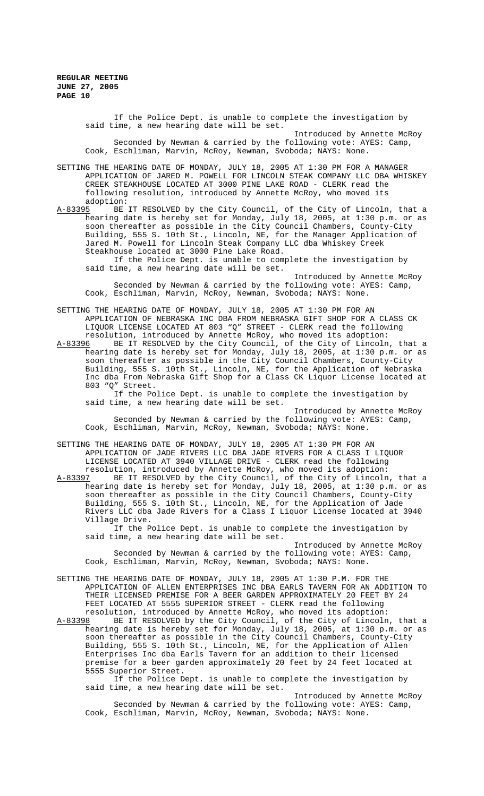> If the Police Dept. is unable to complete the investigation by said time, a new hearing date will be set. Introduced by Annette McRoy Seconded by Newman & carried by the following vote: AYES: Camp, Cook, Eschliman, Marvin, McRoy, Newman, Svoboda; NAYS: None.

SETTING THE HEARING DATE OF MONDAY, JULY 18, 2005 AT 1:30 PM FOR A MANAGER APPLICATION OF JARED M. POWELL FOR LINCOLN STEAK COMPANY LLC DBA WHISKEY CREEK STEAKHOUSE LOCATED AT 3000 PINE LAKE ROAD - CLERK read the following resolution, introduced by Annette McRoy, who moved its adoption:<br>A-83395 BE

BE IT RESOLVED by the City Council, of the City of Lincoln, that a hearing date is hereby set for Monday, July 18, 2005, at 1:30 p.m. or as soon thereafter as possible in the City Council Chambers, County-City Building, 555 S. 10th St., Lincoln, NE, for the Manager Application of Jared M. Powell for Lincoln Steak Company LLC dba Whiskey Creek Steakhouse located at 3000 Pine Lake Road.

 If the Police Dept. is unable to complete the investigation by said time, a new hearing date will be set.

Introduced by Annette McRoy Seconded by Newman & carried by the following vote: AYES: Camp, Cook, Eschliman, Marvin, McRoy, Newman, Svoboda; NAYS: None.

SETTING THE HEARING DATE OF MONDAY, JULY 18, 2005 AT 1:30 PM FOR AN APPLICATION OF NEBRASKA INC DBA FROM NEBRASKA GIFT SHOP FOR A CLASS CK LIQUOR LICENSE LOCATED AT 803 "Q" STREET - CLERK read the following resolution, introduced by Annette McRoy, who moved its adoption:

A-83396 BE IT RESOLVED by the City Council, of the City of Lincoln, that a hearing date is hereby set for Monday, July 18, 2005, at 1:30 p.m. or as soon thereafter as possible in the City Council Chambers, County-City Building, 555 S. 10th St., Lincoln, NE, for the Application of Nebraska Inc dba From Nebraska Gift Shop for a Class CK Liquor License located at 803 "Q" Street.

 If the Police Dept. is unable to complete the investigation by said time, a new hearing date will be set.

Introduced by Annette McRoy Seconded by Newman & carried by the following vote: AYES: Camp, Cook, Eschliman, Marvin, McRoy, Newman, Svoboda; NAYS: None.

SETTING THE HEARING DATE OF MONDAY, JULY 18, 2005 AT 1:30 PM FOR AN APPLICATION OF JADE RIVERS LLC DBA JADE RIVERS FOR A CLASS I LIQUOR LICENSE LOCATED AT 3940 VILLAGE DRIVE - CLERK read the following

resolution, introduced by Annette McRoy, who moved its adoption:<br>A-83397 BE IT RESOLVED by the City Council, of the City of Lincoln BE IT RESOLVED by the City Council, of the City of Lincoln, that a hearing date is hereby set for Monday, July 18, 2005, at 1:30 p.m. or as soon thereafter as possible in the City Council Chambers, County-City Building, 555 S. 10th St., Lincoln, NE, for the Application of Jade Rivers LLC dba Jade Rivers for a Class I Liquor License located at 3940 Village Drive.

 If the Police Dept. is unable to complete the investigation by said time, a new hearing date will be set.

Introduced by Annette McRoy Seconded by Newman & carried by the following vote: AYES: Camp, Cook, Eschliman, Marvin, McRoy, Newman, Svoboda; NAYS: None.

SETTING THE HEARING DATE OF MONDAY, JULY 18, 2005 AT 1:30 P.M. FOR THE APPLICATION OF ALLEN ENTERPRISES INC DBA EARLS TAVERN FOR AN ADDITION TO THEIR LICENSED PREMISE FOR A BEER GARDEN APPROXIMATELY 20 FEET BY 24 FEET LOCATED AT 5555 SUPERIOR STREET - CLERK read the following

resolution, introduced by Annette McRoy, who moved its adoption:<br>A-83398 BE IT RESOLVED by the City Council, of the City of Lincoln BE IT RESOLVED by the City Council, of the City of Lincoln, that a hearing date is hereby set for Monday, July 18, 2005, at 1:30 p.m. or as soon thereafter as possible in the City Council Chambers, County-City Building, 555 S. 10th St., Lincoln, NE, for the Application of Allen Enterprises Inc dba Earls Tavern for an addition to their licensed premise for a beer garden approximately 20 feet by 24 feet located at 5555 Superior Street.

 If the Police Dept. is unable to complete the investigation by said time, a new hearing date will be set.

Introduced by Annette McRoy Seconded by Newman & carried by the following vote: AYES: Camp, Cook, Eschliman, Marvin, McRoy, Newman, Svoboda; NAYS: None.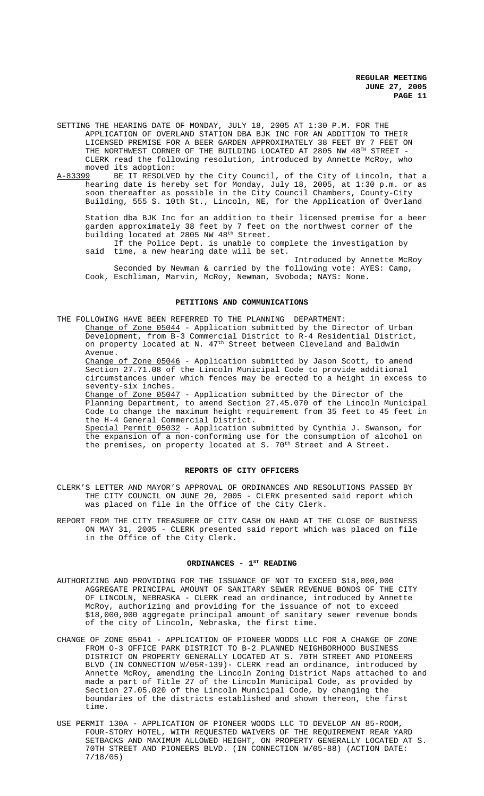- SETTING THE HEARING DATE OF MONDAY, JULY 18, 2005 AT 1:30 P.M. FOR THE APPLICATION OF OVERLAND STATION DBA BJK INC FOR AN ADDITION TO THEIR LICENSED PREMISE FOR A BEER GARDEN APPROXIMATELY 38 FEET BY 7 FEET ON THE NORTHWEST CORNER OF THE BUILDING LOCATED AT 2805 NW 48TH STREET -CLERK read the following resolution, introduced by Annette McRoy, who
- moved its adoption:<br>A-83399 BE IT RESOLVE BE IT RESOLVED by the City Council, of the City of Lincoln, that a hearing date is hereby set for Monday, July 18, 2005, at 1:30 p.m. or as soon thereafter as possible in the City Council Chambers, County-City Building, 555 S. 10th St., Lincoln, NE, for the Application of Overland

Station dba BJK Inc for an addition to their licensed premise for a beer garden approximately 38 feet by 7 feet on the northwest corner of the building located at 2805 NW 48<sup>th</sup> Street.

If the Police Dept. is unable to complete the investigation by<br>said time, a new hearing date will be set. time, a new hearing date will be set.

Introduced by Annette McRoy Seconded by Newman & carried by the following vote: AYES: Camp, Cook, Eschliman, Marvin, McRoy, Newman, Svoboda; NAYS: None.

#### **PETITIONS AND COMMUNICATIONS**

THE FOLLOWING HAVE BEEN REFERRED TO THE PLANNING DEPARTMENT:

Change of Zone 05044 - Application submitted by the Director of Urban Development, from B-3 Commercial District to R-4 Residential District, on property located at N. 47<sup>th</sup> Street between Cleveland and Baldwin

Avenue.<br>Change of Zone 05046 - Application submitted by Jason Scott, to amend Section 27.71.08 of the Lincoln Municipal Code to provide additional circumstances under which fences may be erected to a height in excess to seventy-six inches.

Change of Zone 05047 - Application submitted by the Director of the Planning Department, to amend Section 27.45.070 of the Lincoln Municipal Code to change the maximum height requirement from 35 feet to 45 feet in the H-4 General Commercial District.

Special Permit 05032 - Application submitted by Cynthia J. Swanson, for the expansion of a non-conforming use for the consumption of alcohol on the premises, on property located at S. 70<sup>th</sup> Street and A Street.

# **REPORTS OF CITY OFFICERS**

- CLERK'S LETTER AND MAYOR'S APPROVAL OF ORDINANCES AND RESOLUTIONS PASSED BY THE CITY COUNCIL ON JUNE 20, 2005 - CLERK presented said report which was placed on file in the Office of the City Clerk.
- REPORT FROM THE CITY TREASURER OF CITY CASH ON HAND AT THE CLOSE OF BUSINESS ON MAY 31, 2005 - CLERK presented said report which was placed on file in the Office of the City Clerk.

# ORDINANCES - 1<sup>ST</sup> READING

- AUTHORIZING AND PROVIDING FOR THE ISSUANCE OF NOT TO EXCEED \$18,000,000 AGGREGATE PRINCIPAL AMOUNT OF SANITARY SEWER REVENUE BONDS OF THE CITY OF LINCOLN, NEBRASKA - CLERK read an ordinance, introduced by Annette McRoy, authorizing and providing for the issuance of not to exceed \$18,000,000 aggregate principal amount of sanitary sewer revenue bonds of the city of Lincoln, Nebraska, the first time.
- CHANGE OF ZONE 05041 APPLICATION OF PIONEER WOODS LLC FOR A CHANGE OF ZONE FROM O-3 OFFICE PARK DISTRICT TO B-2 PLANNED NEIGHBORHOOD BUSINESS DISTRICT ON PROPERTY GENERALLY LOCATED AT S. 70TH STREET AND PIONEERS BLVD (IN CONNECTION W/05R-139)- CLERK read an ordinance, introduced by Annette McRoy, amending the Lincoln Zoning District Maps attached to and made a part of Title 27 of the Lincoln Municipal Code, as provided by Section 27.05.020 of the Lincoln Municipal Code, by changing the boundaries of the districts established and shown thereon, the first time.
- USE PERMIT 130A APPLICATION OF PIONEER WOODS LLC TO DEVELOP AN 85-ROOM, FOUR-STORY HOTEL, WITH REQUESTED WAIVERS OF THE REQUIREMENT REAR YARD SETBACKS AND MAXIMUM ALLOWED HEIGHT, ON PROPERTY GENERALLY LOCATED AT S. 70TH STREET AND PIONEERS BLVD. (IN CONNECTION W/05-88) (ACTION DATE: 7/18/05)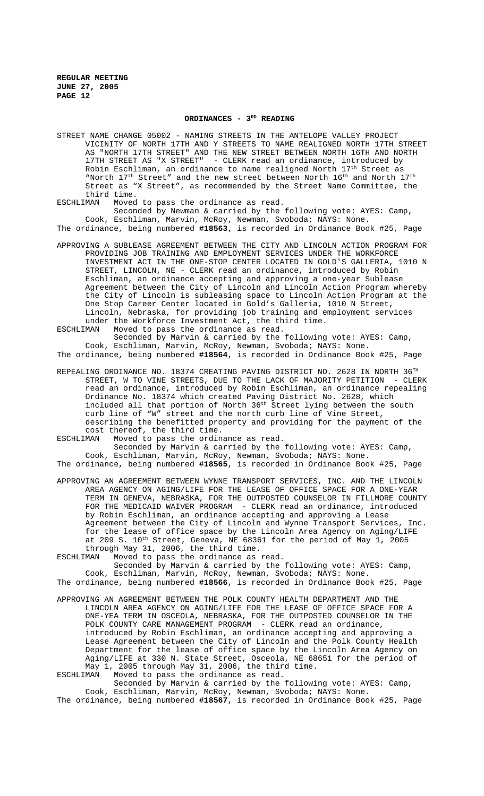### ORDINANCES - 3<sup>RD</sup> READING

STREET NAME CHANGE 05002 - NAMING STREETS IN THE ANTELOPE VALLEY PROJECT VICINITY OF NORTH 17TH AND Y STREETS TO NAME REALIGNED NORTH 17TH STREET AS "NORTH 17TH STREET" AND THE NEW STREET BETWEEN NORTH 16TH AND NORTH 17TH STREET AS "X STREET" - CLERK read an ordinance, introduced by Robin Eschliman, an ordinance to name realigned North  $17<sup>th</sup>$  Street as "North 17<sup>th</sup> Street" and the new street between North 16<sup>th</sup> and North 17<sup>th</sup> Street as "X Street", as recommended by the Street Name Committee, the third time.<br>ESCHLIMAN Moved

Moved to pass the ordinance as read.

Seconded by Newman & carried by the following vote: AYES: Camp, Cook, Eschliman, Marvin, McRoy, Newman, Svoboda; NAYS: None. The ordinance, being numbered **#18563**, is recorded in Ordinance Book #25, Page

APPROVING A SUBLEASE AGREEMENT BETWEEN THE CITY AND LINCOLN ACTION PROGRAM FOR PROVIDING JOB TRAINING AND EMPLOYMENT SERVICES UNDER THE WORKFORCE INVESTMENT ACT IN THE ONE-STOP CENTER LOCATED IN GOLD'S GALLERIA, 1010 N STREET, LINCOLN, NE - CLERK read an ordinance, introduced by Robin Eschliman, an ordinance accepting and approving a one-year Sublease Agreement between the City of Lincoln and Lincoln Action Program whereby the City of Lincoln is subleasing space to Lincoln Action Program at the One Stop Career Center located in Gold's Galleria, 1010 N Street, Lincoln, Nebraska, for providing job training and employment services under the Workforce Investment Act, the third time.

ESCHLIMAN Moved to pass the ordinance as read.

Seconded by Marvin & carried by the following vote: AYES: Camp, Cook, Eschliman, Marvin, McRoy, Newman, Svoboda; NAYS: None. The ordinance, being numbered **#18564**, is recorded in Ordinance Book #25, Page

REPEALING ORDINANCE NO. 18374 CREATING PAVING DISTRICT NO. 2628 IN NORTH 36TH STREET, W TO VINE STREETS, DUE TO THE LACK OF MAJORITY PETITION - CLERK read an ordinance, introduced by Robin Eschliman, an ordinance repealing Ordinance No. 18374 which created Paving District No. 2628, which included all that portion of North 36<sup>th</sup> Street lying between the south curb line of "W" street and the north curb line of Vine Street, describing the benefitted property and providing for the payment of the cost thereof, the third time.<br>ESCHLIMAN Moved to pass the ordin

Moved to pass the ordinance as read.

Seconded by Marvin & carried by the following vote: AYES: Camp, Cook, Eschliman, Marvin, McRoy, Newman, Svoboda; NAYS: None. The ordinance, being numbered **#18565**, is recorded in Ordinance Book #25, Page

APPROVING AN AGREEMENT BETWEEN WYNNE TRANSPORT SERVICES, INC. AND THE LINCOLN AREA AGENCY ON AGING/LIFE FOR THE LEASE OF OFFICE SPACE FOR A ONE-YEAR TERM IN GENEVA, NEBRASKA, FOR THE OUTPOSTED COUNSELOR IN FILLMORE COUNTY FOR THE MEDICAID WAIVER PROGRAM - CLERK read an ordinance, introduced by Robin Eschliman, an ordinance accepting and approving a Lease

Agreement between the City of Lincoln and Wynne Transport Services, Inc. for the lease of office space by the Lincoln Area Agency on Aging/LIFE at 209 S.  $10^{\text{th}}$  Street, Geneva, NE  $68361$  for the period of May 1, 2005 through May 31, 2006, the third time.

ESCHLIMAN Moved to pass the ordinance as read.

Seconded by Marvin & carried by the following vote: AYES: Camp,

Cook, Eschliman, Marvin, McRoy, Newman, Svoboda; NAYS: None. The ordinance, being numbered **#18566**, is recorded in Ordinance Book #25, Page

APPROVING AN AGREEMENT BETWEEN THE POLK COUNTY HEALTH DEPARTMENT AND THE LINCOLN AREA AGENCY ON AGING/LIFE FOR THE LEASE OF OFFICE SPACE FOR A ONE-YEA TERM IN OSCEOLA, NEBRASKA, FOR THE OUTPOSTED COUNSELOR IN THE POLK COUNTY CARE MANAGEMENT PROGRAM - CLERK read an ordinance, introduced by Robin Eschliman, an ordinance accepting and approving a Lease Agreement between the City of Lincoln and the Polk County Health Department for the lease of office space by the Lincoln Area Agency on Aging/LIFE at 330 N. State Street, Osceola, NE 68651 for the period of May 1, 2005 through May 31, 2006, the third time.

ESCHLIMAN Moved to pass the ordinance as read.

Seconded by Marvin & carried by the following vote: AYES: Camp, Cook, Eschliman, Marvin, McRoy, Newman, Svoboda; NAYS: None.

The ordinance, being numbered **#18567**, is recorded in Ordinance Book #25, Page